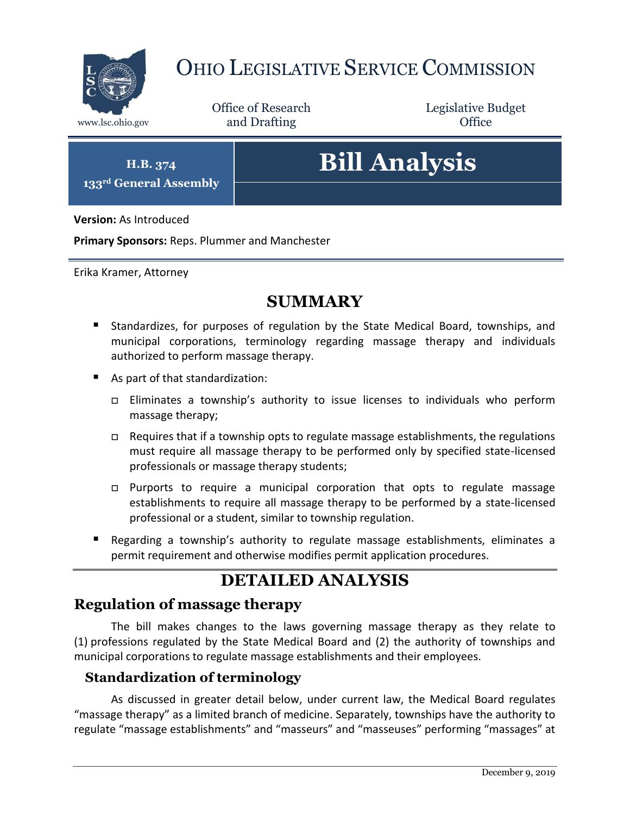

## OHIO LEGISLATIVE SERVICE COMMISSION

Office of Research www.lsc.ohio.gov **and Drafting Office** 

Legislative Budget

**H.B. 374 133rd General Assembly**

# **Bill Analysis**

**Version:** As Introduced

**Primary Sponsors:** Reps. Plummer and Manchester

Erika Kramer, Attorney

### **SUMMARY**

- Standardizes, for purposes of regulation by the State Medical Board, townships, and municipal corporations, terminology regarding massage therapy and individuals authorized to perform massage therapy.
- As part of that standardization:
	- Eliminates a township's authority to issue licenses to individuals who perform massage therapy;
	- □ Requires that if a township opts to regulate massage establishments, the regulations must require all massage therapy to be performed only by specified state-licensed professionals or massage therapy students;
	- $\Box$  Purports to require a municipal corporation that opts to regulate massage establishments to require all massage therapy to be performed by a state-licensed professional or a student, similar to township regulation.
- Regarding a township's authority to regulate massage establishments, eliminates a permit requirement and otherwise modifies permit application procedures.

## **DETAILED ANALYSIS**

#### **Regulation of massage therapy**

The bill makes changes to the laws governing massage therapy as they relate to (1) professions regulated by the State Medical Board and (2) the authority of townships and municipal corporations to regulate massage establishments and their employees.

#### **Standardization of terminology**

As discussed in greater detail below, under current law, the Medical Board regulates "massage therapy" as a limited branch of medicine. Separately, townships have the authority to regulate "massage establishments" and "masseurs" and "masseuses" performing "massages" at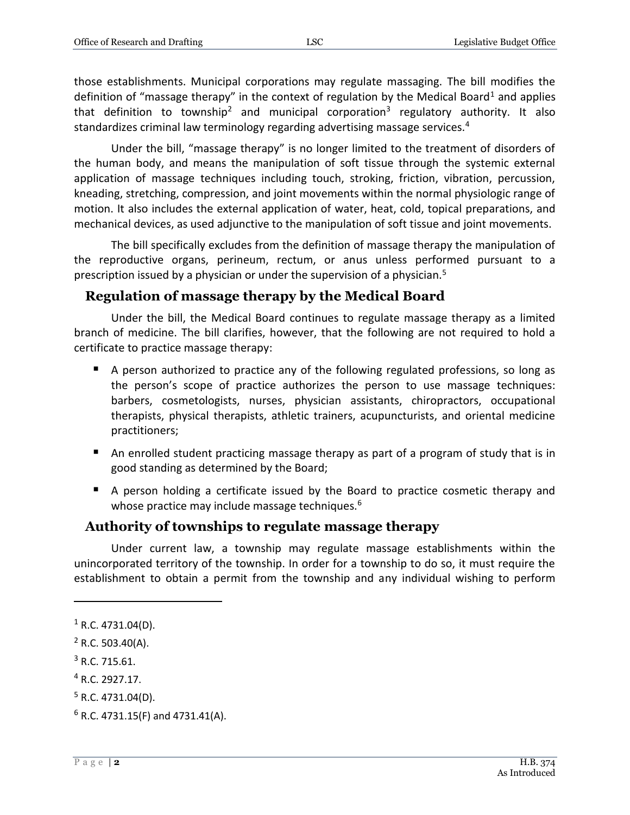those establishments. Municipal corporations may regulate massaging. The bill modifies the definition of "massage therapy" in the context of regulation by the Medical Board<sup>1</sup> and applies that definition to township<sup>2</sup> and municipal corporation<sup>3</sup> regulatory authority. It also standardizes criminal law terminology regarding advertising massage services.<sup>4</sup>

Under the bill, "massage therapy" is no longer limited to the treatment of disorders of the human body, and means the manipulation of soft tissue through the systemic external application of massage techniques including touch, stroking, friction, vibration, percussion, kneading, stretching, compression, and joint movements within the normal physiologic range of motion. It also includes the external application of water, heat, cold, topical preparations, and mechanical devices, as used adjunctive to the manipulation of soft tissue and joint movements.

The bill specifically excludes from the definition of massage therapy the manipulation of the reproductive organs, perineum, rectum, or anus unless performed pursuant to a prescription issued by a physician or under the supervision of a physician.<sup>5</sup>

#### **Regulation of massage therapy by the Medical Board**

Under the bill, the Medical Board continues to regulate massage therapy as a limited branch of medicine. The bill clarifies, however, that the following are not required to hold a certificate to practice massage therapy:

- A person authorized to practice any of the following regulated professions, so long as the person's scope of practice authorizes the person to use massage techniques: barbers, cosmetologists, nurses, physician assistants, chiropractors, occupational therapists, physical therapists, athletic trainers, acupuncturists, and oriental medicine practitioners;
- An enrolled student practicing massage therapy as part of a program of study that is in good standing as determined by the Board;
- A person holding a certificate issued by the Board to practice cosmetic therapy and whose practice may include massage techniques.<sup>6</sup>

#### **Authority of townships to regulate massage therapy**

Under current law, a township may regulate massage establishments within the unincorporated territory of the township. In order for a township to do so, it must require the establishment to obtain a permit from the township and any individual wishing to perform

 $\overline{a}$ 

<sup>&</sup>lt;sup>1</sup> R.C. 4731.04(D).

 $2$  R.C. 503.40(A).

<sup>3</sup> R.C. 715.61.

<sup>4</sup> R.C. 2927.17.

 $5$  R.C. 4731.04(D).

 $6$  R.C. 4731.15(F) and 4731.41(A).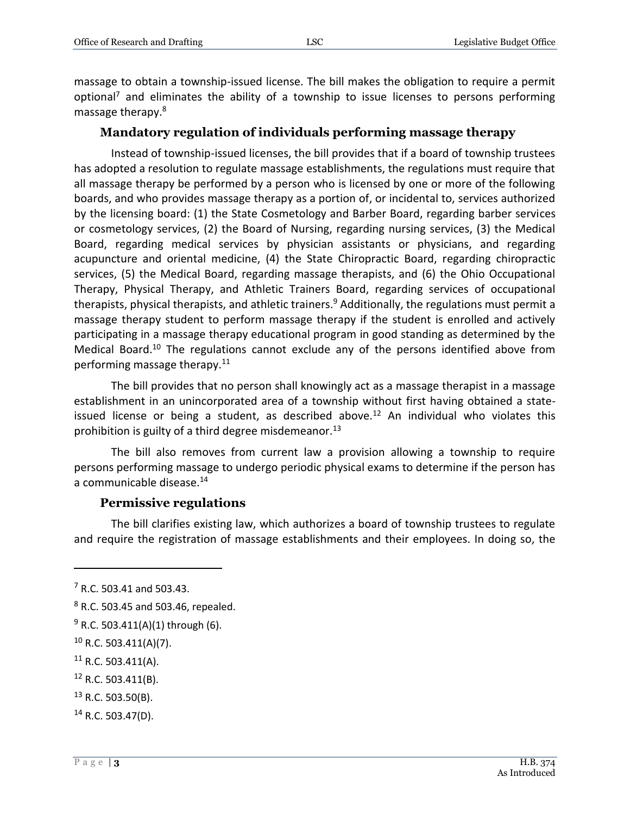massage to obtain a township-issued license. The bill makes the obligation to require a permit optional<sup>7</sup> and eliminates the ability of a township to issue licenses to persons performing massage therapy.<sup>8</sup>

#### **Mandatory regulation of individuals performing massage therapy**

Instead of township-issued licenses, the bill provides that if a board of township trustees has adopted a resolution to regulate massage establishments, the regulations must require that all massage therapy be performed by a person who is licensed by one or more of the following boards, and who provides massage therapy as a portion of, or incidental to, services authorized by the licensing board: (1) the State Cosmetology and Barber Board, regarding barber services or cosmetology services, (2) the Board of Nursing, regarding nursing services, (3) the Medical Board, regarding medical services by physician assistants or physicians, and regarding acupuncture and oriental medicine, (4) the State Chiropractic Board, regarding chiropractic services, (5) the Medical Board, regarding massage therapists, and (6) the Ohio Occupational Therapy, Physical Therapy, and Athletic Trainers Board, regarding services of occupational therapists, physical therapists, and athletic trainers.<sup>9</sup> Additionally, the regulations must permit a massage therapy student to perform massage therapy if the student is enrolled and actively participating in a massage therapy educational program in good standing as determined by the Medical Board.<sup>10</sup> The regulations cannot exclude any of the persons identified above from performing massage therapy.<sup>11</sup>

The bill provides that no person shall knowingly act as a massage therapist in a massage establishment in an unincorporated area of a township without first having obtained a stateissued license or being a student, as described above.<sup>12</sup> An individual who violates this prohibition is guilty of a third degree misdemeanor.<sup>13</sup>

The bill also removes from current law a provision allowing a township to require persons performing massage to undergo periodic physical exams to determine if the person has a communicable disease.<sup>14</sup>

#### **Permissive regulations**

The bill clarifies existing law, which authorizes a board of township trustees to regulate and require the registration of massage establishments and their employees. In doing so, the

 $\overline{a}$ 

 $13$  R.C. 503.50(B).

 $7$  R.C. 503.41 and 503.43.

<sup>8</sup> R.C. 503.45 and 503.46, repealed.

 $9$  R.C. 503.411(A)(1) through (6).

 $10$  R.C. 503.411(A)(7).

 $11$  R.C. 503.411(A).

<sup>12</sup> R.C. 503.411(B).

 $14$  R.C. 503.47(D).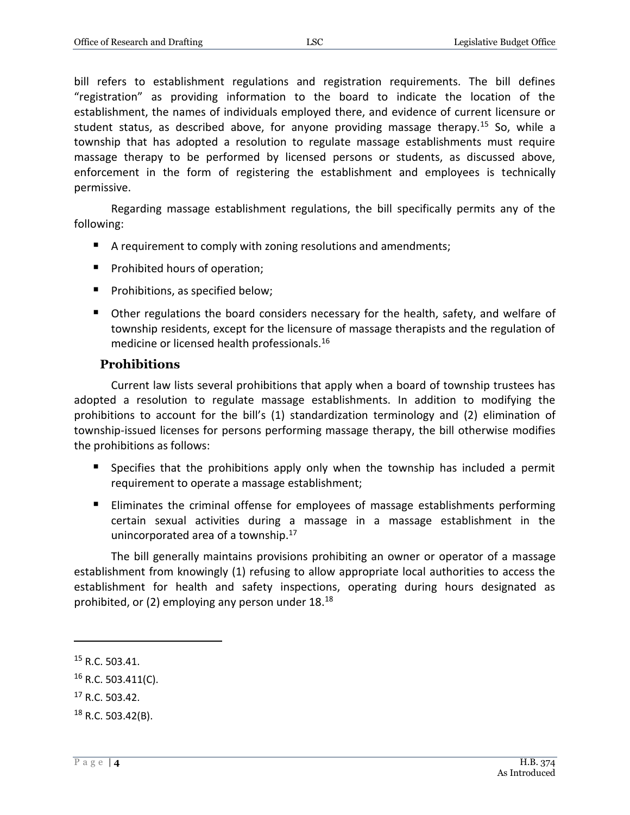bill refers to establishment regulations and registration requirements. The bill defines "registration" as providing information to the board to indicate the location of the establishment, the names of individuals employed there, and evidence of current licensure or student status, as described above, for anyone providing massage therapy.<sup>15</sup> So, while a township that has adopted a resolution to regulate massage establishments must require massage therapy to be performed by licensed persons or students, as discussed above, enforcement in the form of registering the establishment and employees is technically permissive.

Regarding massage establishment regulations, the bill specifically permits any of the following:

- A requirement to comply with zoning resolutions and amendments;
- **Prohibited hours of operation;**
- **Prohibitions, as specified below;**
- Other regulations the board considers necessary for the health, safety, and welfare of township residents, except for the licensure of massage therapists and the regulation of medicine or licensed health professionals.<sup>16</sup>

#### **Prohibitions**

Current law lists several prohibitions that apply when a board of township trustees has adopted a resolution to regulate massage establishments. In addition to modifying the prohibitions to account for the bill's (1) standardization terminology and (2) elimination of township-issued licenses for persons performing massage therapy, the bill otherwise modifies the prohibitions as follows:

- Specifies that the prohibitions apply only when the township has included a permit requirement to operate a massage establishment;
- Eliminates the criminal offense for employees of massage establishments performing certain sexual activities during a massage in a massage establishment in the unincorporated area of a township. $17$

The bill generally maintains provisions prohibiting an owner or operator of a massage establishment from knowingly (1) refusing to allow appropriate local authorities to access the establishment for health and safety inspections, operating during hours designated as prohibited, or (2) employing any person under 18.<sup>18</sup>

 $\overline{a}$ 

<sup>17</sup> R.C. 503.42.

<sup>15</sup> R.C. 503.41.

 $16$  R.C. 503.411(C).

 $18$  R.C. 503.42(B).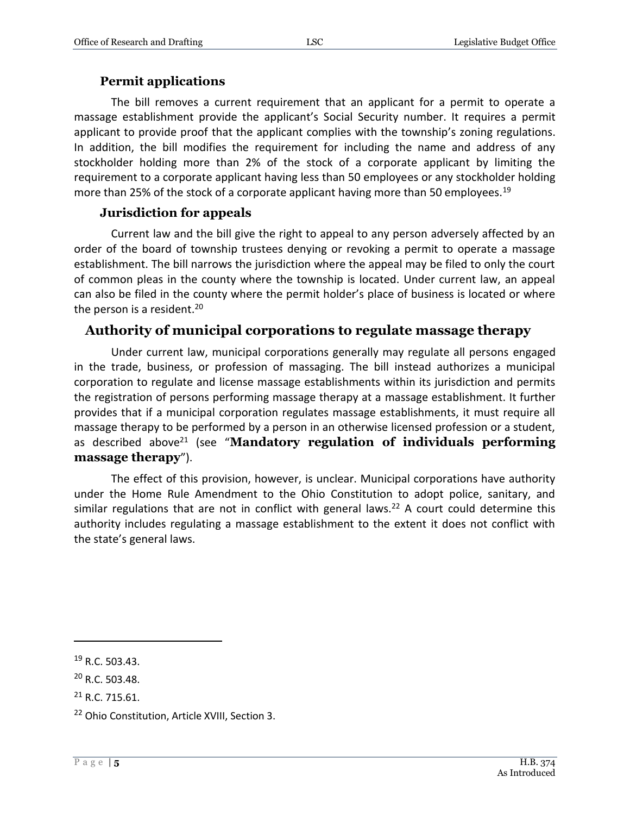#### **Permit applications**

The bill removes a current requirement that an applicant for a permit to operate a massage establishment provide the applicant's Social Security number. It requires a permit applicant to provide proof that the applicant complies with the township's zoning regulations. In addition, the bill modifies the requirement for including the name and address of any stockholder holding more than 2% of the stock of a corporate applicant by limiting the requirement to a corporate applicant having less than 50 employees or any stockholder holding more than 25% of the stock of a corporate applicant having more than 50 employees.<sup>19</sup>

#### **Jurisdiction for appeals**

Current law and the bill give the right to appeal to any person adversely affected by an order of the board of township trustees denying or revoking a permit to operate a massage establishment. The bill narrows the jurisdiction where the appeal may be filed to only the court of common pleas in the county where the township is located. Under current law, an appeal can also be filed in the county where the permit holder's place of business is located or where the person is a resident.<sup>20</sup>

#### **Authority of municipal corporations to regulate massage therapy**

Under current law, municipal corporations generally may regulate all persons engaged in the trade, business, or profession of massaging. The bill instead authorizes a municipal corporation to regulate and license massage establishments within its jurisdiction and permits the registration of persons performing massage therapy at a massage establishment. It further provides that if a municipal corporation regulates massage establishments, it must require all massage therapy to be performed by a person in an otherwise licensed profession or a student, as described above<sup>21</sup> (see "**Mandatory regulation of individuals performing massage therapy**").

The effect of this provision, however, is unclear. Municipal corporations have authority under the Home Rule Amendment to the Ohio Constitution to adopt police, sanitary, and similar regulations that are not in conflict with general laws.<sup>22</sup> A court could determine this authority includes regulating a massage establishment to the extent it does not conflict with the state's general laws.

 $\overline{a}$ 

<sup>19</sup> R.C. 503.43.

<sup>20</sup> R.C. 503.48.

 $21$  R.C. 715.61.

<sup>22</sup> Ohio Constitution, Article XVIII, Section 3.